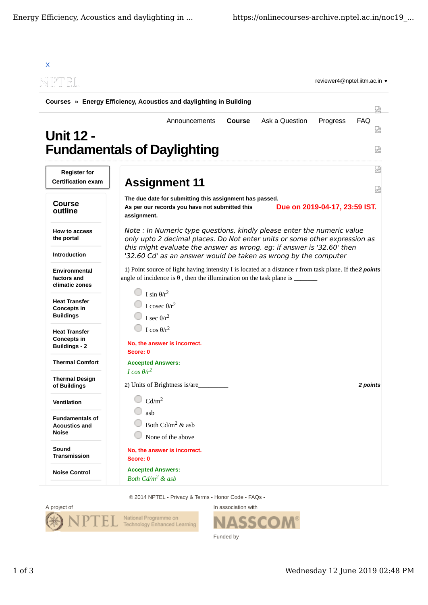

© 2014 NPTEL - Privacy & Terms - Honor Code - FAQs -



In association with SSC Funded by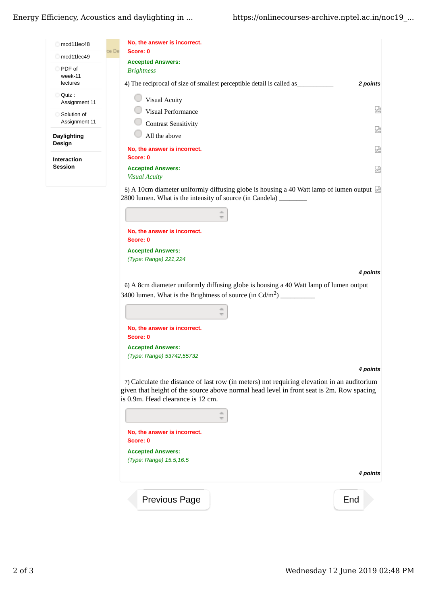| mod11lec48                    | No, the answer is incorrect.                                                                                                                             |  |
|-------------------------------|----------------------------------------------------------------------------------------------------------------------------------------------------------|--|
| mod11lec49                    | ce De<br>Score: 0                                                                                                                                        |  |
| PDF of<br>week-11<br>lectures | <b>Accepted Answers:</b><br><b>Brightness</b><br>4) The reciprocal of size of smallest perceptible detail is called as<br>2 points                       |  |
| Quiz:<br>Assignment 11        | <b>Visual Acuity</b>                                                                                                                                     |  |
| Solution of<br>Assignment 11  | 덣<br>Visual Performance<br><b>Contrast Sensitivity</b>                                                                                                   |  |
| Daylighting<br>Design         | 恳<br>All the above                                                                                                                                       |  |
| <b>Interaction</b>            | 얺<br>No, the answer is incorrect.<br>Score: 0                                                                                                            |  |
| <b>Session</b>                | <b>Accepted Answers:</b><br>덣<br><b>Visual Acuity</b>                                                                                                    |  |
|                               | 5) A 10cm diameter uniformly diffusing globe is housing a 40 Watt lamp of lumen output<br>2800 lumen. What is the intensity of source (in Candela) _____ |  |

| No, the answer is incorrect.                                                          |  |
|---------------------------------------------------------------------------------------|--|
| Score: 0                                                                              |  |
| <b>Accepted Answers:</b>                                                              |  |
| (Type: Range) 221,224                                                                 |  |
| 4 points                                                                              |  |
| 6) A 8cm diameter uniformly diffusing globe is housing a 40 Watt lamp of lumen output |  |
| 3400 lumen. What is the Brightness of source (in $Cd/m2$ )                            |  |
|                                                                                       |  |
| No, the answer is incorrect.                                                          |  |
| Score: 0                                                                              |  |
| <b>Accepted Answers:</b>                                                              |  |
| (Type: Range) 53742,55732                                                             |  |
| <b>4 points</b>                                                                       |  |

7) Calculate the distance of last row (in meters) not requiring elevation in an auditorium given that height of the source above normal head level in front seat is 2m. Row spacing is 0.9m. Head clearance is 12 cm.

| No, the answer is incorrect.<br>Score: 0            |          |
|-----------------------------------------------------|----------|
| <b>Accepted Answers:</b><br>(Type: Range) 15.5,16.5 |          |
|                                                     | 4 points |
| Previous Page                                       | End      |